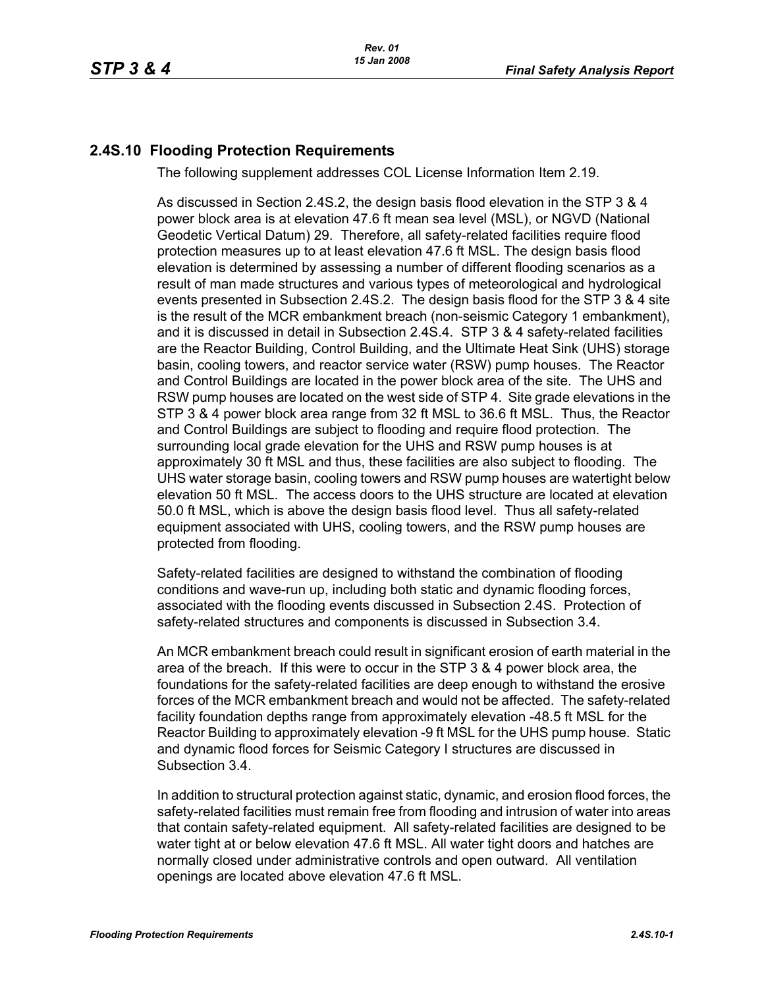## **2.4S.10 Flooding Protection Requirements**

The following supplement addresses COL License Information Item 2.19.

As discussed in Section 2.4S.2, the design basis flood elevation in the STP 3 & 4 power block area is at elevation 47.6 ft mean sea level (MSL), or NGVD (National Geodetic Vertical Datum) 29. Therefore, all safety-related facilities require flood protection measures up to at least elevation 47.6 ft MSL. The design basis flood elevation is determined by assessing a number of different flooding scenarios as a result of man made structures and various types of meteorological and hydrological events presented in Subsection 2.4S.2. The design basis flood for the STP 3 & 4 site is the result of the MCR embankment breach (non-seismic Category 1 embankment), and it is discussed in detail in Subsection 2.4S.4. STP 3 & 4 safety-related facilities are the Reactor Building, Control Building, and the Ultimate Heat Sink (UHS) storage basin, cooling towers, and reactor service water (RSW) pump houses. The Reactor and Control Buildings are located in the power block area of the site. The UHS and RSW pump houses are located on the west side of STP 4. Site grade elevations in the STP 3 & 4 power block area range from 32 ft MSL to 36.6 ft MSL. Thus, the Reactor and Control Buildings are subject to flooding and require flood protection. The surrounding local grade elevation for the UHS and RSW pump houses is at approximately 30 ft MSL and thus, these facilities are also subject to flooding. The UHS water storage basin, cooling towers and RSW pump houses are watertight below elevation 50 ft MSL. The access doors to the UHS structure are located at elevation 50.0 ft MSL, which is above the design basis flood level. Thus all safety-related equipment associated with UHS, cooling towers, and the RSW pump houses are protected from flooding.

Safety-related facilities are designed to withstand the combination of flooding conditions and wave-run up, including both static and dynamic flooding forces, associated with the flooding events discussed in Subsection 2.4S. Protection of safety-related structures and components is discussed in Subsection 3.4.

An MCR embankment breach could result in significant erosion of earth material in the area of the breach. If this were to occur in the STP 3 & 4 power block area, the foundations for the safety-related facilities are deep enough to withstand the erosive forces of the MCR embankment breach and would not be affected. The safety-related facility foundation depths range from approximately elevation -48.5 ft MSL for the Reactor Building to approximately elevation -9 ft MSL for the UHS pump house. Static and dynamic flood forces for Seismic Category I structures are discussed in Subsection 3.4.

In addition to structural protection against static, dynamic, and erosion flood forces, the safety-related facilities must remain free from flooding and intrusion of water into areas that contain safety-related equipment. All safety-related facilities are designed to be water tight at or below elevation 47.6 ft MSL. All water tight doors and hatches are normally closed under administrative controls and open outward. All ventilation openings are located above elevation 47.6 ft MSL.